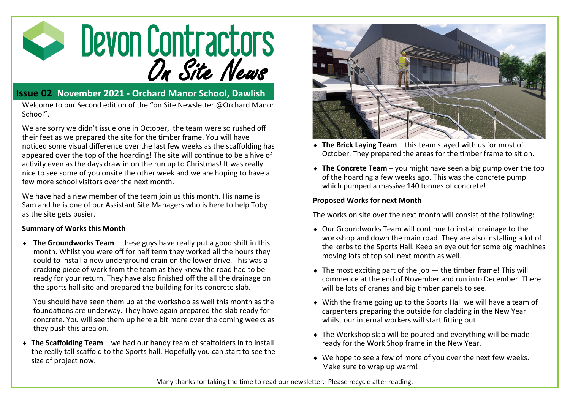

## **Issue 02 November 2021 - Orchard Manor School, Dawlish**

Welcome to our Second edition of the "on Site Newsletter @Orchard Manor School".

We are sorry we didn't issue one in October, the team were so rushed off their feet as we prepared the site for the timber frame. You will have noticed some visual difference over the last few weeks as the scaffolding has appeared over the top of the hoarding! The site will continue to be a hive of activity even as the days draw in on the run up to Christmas! It was really nice to see some of you onsite the other week and we are hoping to have a few more school visitors over the next month.

We have had a new member of the team join us this month. His name is Sam and he is one of our Assistant Site Managers who is here to help Toby as the site gets busier.

## **Summary of Works this Month**

 **The Groundworks Team** – these guys have really put a good shift in this month. Whilst you were off for half term they worked all the hours they could to install a new underground drain on the lower drive. This was a cracking piece of work from the team as they knew the road had to be ready for your return. They have also finished off the all the drainage on the sports hall site and prepared the building for its concrete slab.

You should have seen them up at the workshop as well this month as the foundations are underway. They have again prepared the slab ready for concrete. You will see them up here a bit more over the coming weeks as they push this area on.

 **The Scaffolding Team** – we had our handy team of scaffolders in to install the really tall scaffold to the Sports hall. Hopefully you can start to see the size of project now.



- **The Brick Laying Team**  this team stayed with us for most of October. They prepared the areas for the timber frame to sit on.
- ◆ The Concrete Team you might have seen a big pump over the top of the hoarding a few weeks ago. This was the concrete pump which pumped a massive 140 tonnes of concrete!

## **Proposed Works for next Month**

The works on site over the next month will consist of the following:

- Our Groundworks Team will continue to install drainage to the workshop and down the main road. They are also installing a lot of the kerbs to the Sports Hall. Keep an eye out for some big machines moving lots of top soil next month as well.
- $\bullet$  The most exciting part of the job  $-$  the timber frame! This will commence at the end of November and run into December. There will be lots of cranes and big timber panels to see.
- With the frame going up to the Sports Hall we will have a team of carpenters preparing the outside for cladding in the New Year whilst our internal workers will start fitting out.
- The Workshop slab will be poured and everything will be made ready for the Work Shop frame in the New Year.
- We hope to see a few of more of you over the next few weeks. Make sure to wrap up warm!

Many thanks for taking the time to read our newsletter. Please recycle after reading.